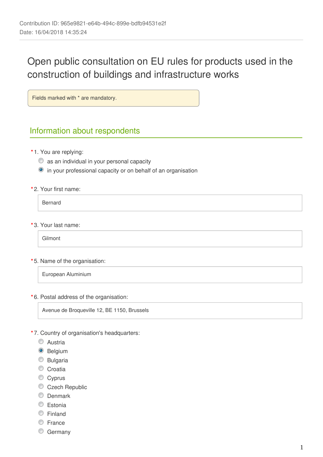# Open public consultation on EU rules for products used in the construction of buildings and infrastructure works

Fields marked with \* are mandatory.

## Information about respondents

- **\*** 1. You are replying:
	- $\bullet$  as an individual in your personal capacity
	- in your professional capacity or on behalf of an organisation
- **\*** 2. Your first name:

Bernard

**\*** 3. Your last name:

Gilmont

**\*** 5. Name of the organisation:

European Aluminium

**\*** 6. Postal address of the organisation:

Avenue de Broqueville 12, BE 1150, Brussels

- **\*** 7. Country of organisation's headquarters:
	- C Austria
	- <sup>O</sup> Belgium
	- C Bulgaria
	- Croatia
	- Cyprus
	- Czech Republic
	- **C** Denmark
	- C Estonia
	- Finland
	- C France
	- C Germany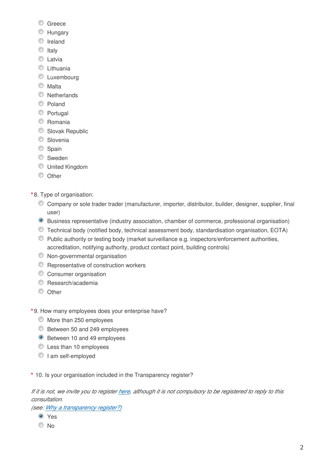- C Greece
- **Hungary**
- **O** Ireland
- $\circ$  Italy
- **C** Latvia
- **C** Lithuania
- **C** Luxembourg
- **Malta**
- **O** Netherlands
- C Poland
- **Portugal**
- C Romania
- Slovak Republic
- **Slovenia**
- Spain
- Sweden
- United Kingdom
- O Other
- **\*** 8. Type of organisation:
	- Company or sole trader trader (manufacturer, importer, distributor, builder, designer, supplier, final user)
	- Business representative (industry association, chamber of commerce, professional organisation)
	- Technical body (notified body, technical assessment body, standardisation organisation, EOTA)
	- Public authority or testing body (market surveillance e.g. inspectors/enforcement authorities, accreditation, notifying authority, product contact point, building controls)
	- Non-governmental organisation
	- **C** Representative of construction workers
	- **C** Consumer organisation
	- C Research/academia
	- $\circledcirc$  Other
- **\*** 9. How many employees does your enterprise have?
	- $\bullet$  More than 250 employees
	- Between 50 and 249 employees
	- **Between 10 and 49 employees**
	- Less than 10 employees
	- I am self-employed
- **\*** 10. Is your organisation included in the Transparency register?

*If it is not, we invite you to register [here](https://ec.europa.eu/transparencyregister/public/ri/registering.do?locale=en), although it is not compulsory to be registered to reply to this consultation.* 

*(see: [Why a transparency register?\)](http://ec.europa.eu/transparencyregister/public/staticPage/displayStaticPage.do?locale=en&reference=WHY_TRANSPARENCY_REGISTER)*

- **O** Yes
- $\odot$  No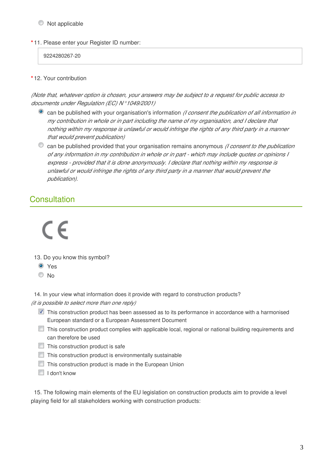#### $\bullet$  Not applicable

**\*** 11. Please enter your Register ID number:

9224280267-20

**\*** 12. Your contribution

*(Note that, whatever option is chosen, your answers may be subject to a request for public access to documents under Regulation (EC) N°1049/2001)*

- can be published with your organisation's information *(I consent the publication of all information in my contribution in whole or in part including the name of my organisation, and I declare that nothing within my response is unlawful or would infringe the rights of any third party in a manner that would prevent publication)*
- can be published provided that your organisation remains anonymous *(I consent to the publication of any information in my contribution in whole or in part - which may include quotes or opinions I express - provided that it is done anonymously. I declare that nothing within my response is unlawful or would infringe the rights of any third party in a manner that would prevent the publication).*

## **Consultation**

 $\in \infty$ 

- 13. Do you know this symbol?
	- Yes
	- No
- 14. In your view what information does it provide with regard to construction products?
- *(it is possible to select more than one reply)*
	- **This construction product has been assessed as to its performance in accordance with a harmonised** European standard or a European Assessment Document
	- This construction product complies with applicable local, regional or national building requirements and can therefore be used
	- $\Box$  This construction product is safe
	- $\Box$  This construction product is environmentally sustainable
	- **This construction product is made in the European Union**
	- I I don't know

15. The following main elements of the EU legislation on construction products aim to provide a level playing field for all stakeholders working with construction products: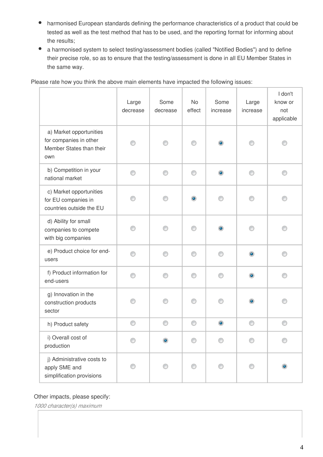- harmonised European standards defining the performance characteristics of a product that could be  $\bullet$ tested as well as the test method that has to be used, and the reporting format for informing about the results;
- a harmonised system to select testing/assessment bodies (called "Notified Bodies") and to define their precise role, so as to ensure that the testing/assessment is done in all EU Member States in the same way.

T

T

|                                                                                      | Large<br>decrease | Some<br>decrease | <b>No</b><br>effect | Some<br>increase | Large<br>increase | I don't<br>know or<br>not<br>applicable |
|--------------------------------------------------------------------------------------|-------------------|------------------|---------------------|------------------|-------------------|-----------------------------------------|
| a) Market opportunities<br>for companies in other<br>Member States than their<br>own |                   | ∩                | ⊙                   | ۰                |                   |                                         |
| b) Competition in your<br>national market                                            | ⊙                 | ∩                | ⊙                   | $\bullet$        | ⊙                 | ⋒                                       |
| c) Market opportunities<br>for EU companies in<br>countries outside the EU           | ∩                 | ⋒                | $\bullet$           | ∩                | ∩                 |                                         |
| d) Ability for small<br>companies to compete<br>with big companies                   | ⊙                 |                  | ∩                   | $\bullet$        |                   |                                         |
| e) Product choice for end-<br>users                                                  | ⊙                 | ⋒                | ∩                   | ∩                | ۰                 | ⋒                                       |
| f) Product information for<br>end-users                                              | ∩                 |                  |                     | ⋒                | ۰                 |                                         |
| g) Innovation in the<br>construction products<br>sector                              | n                 |                  |                     | ⋒                | $\bullet$         |                                         |
| h) Product safety                                                                    | ⊙                 | ⊙                | ⊙                   | $\bullet$        | ⊙                 | C                                       |
| i) Overall cost of<br>production                                                     |                   | ۰                |                     |                  |                   |                                         |
| j) Administrative costs to<br>apply SME and<br>simplification provisions             |                   |                  |                     |                  |                   |                                         |

Please rate how you think the above main elements have impacted the following issues:

#### Other impacts, please specify:

*1000 character(s) maximum*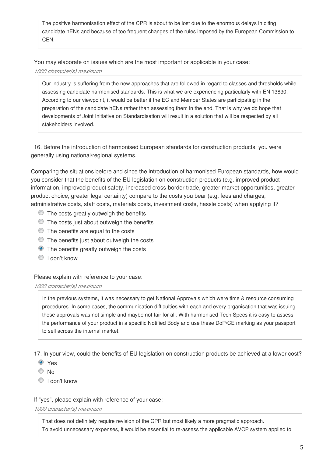The positive harmonisation effect of the CPR is about to be lost due to the enormous delays in citing candidate hENs and because of too frequent changes of the rules imposed by the European Commission to CEN.

You may elaborate on issues which are the most important or applicable in your case:

#### *1000 character(s) maximum*

Our industry is suffering from the new approaches that are followed in regard to classes and thresholds while assessing candidate harmonised standards. This is what we are experiencing particularly with EN 13830. According to our viewpoint, it would be better if the EC and Member States are participating in the preparation of the candidate hENs rather than assessing them in the end. That is why we do hope that developments of Joint Initiative on Standardisation will result in a solution that will be respected by all stakeholders involved.

16. Before the introduction of harmonised European standards for construction products, you were generally using national/regional systems.

Comparing the situations before and since the introduction of harmonised European standards, how would you consider that the benefits of the EU legislation on construction products (e.g. improved product information, improved product safety, increased cross-border trade, greater market opportunities, greater product choice, greater legal certainty) compare to the costs you bear (e.g. fees and charges, administrative costs, staff costs, materials costs, investment costs, hassle costs) when applying it?

- $\bullet$  The costs greatly outweigh the benefits
- $\bullet$  The costs just about outweigh the benefits
- $\bullet$  The benefits are equal to the costs
- The benefits just about outweigh the costs
- **•** The benefits greatly outweigh the costs
- <sup>1</sup> I don't know

Please explain with reference to your case:

#### *1000 character(s) maximum*

In the previous systems, it was necessary to get National Approvals which were time & resource consuming procedures. In some cases, the communication difficulties with each and every organisation that was issuing those approvals was not simple and maybe not fair for all. With harmonised Tech Specs it is easy to assess the performance of your product in a specific Notified Body and use these DoP/CE marking as your passport to sell across the internal market.

17. In your view, could the benefits of EU legislation on construction products be achieved at a lower cost?

- Yes
- O No
- <sup>O</sup> I don't know

#### If "yes", please explain with reference of your case:

#### *1000 character(s) maximum*

That does not definitely require revision of the CPR but most likely a more pragmatic approach. To avoid unnecessary expenses, it would be essential to re-assess the applicable AVCP system applied to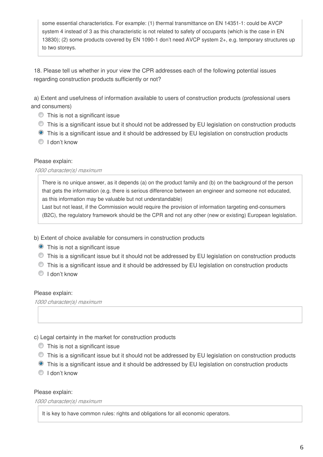some essential characteristics. For example: (1) thermal transmittance on EN 14351-1: could be AVCP system 4 instead of 3 as this characteristic is not related to safety of occupants (which is the case in EN 13830); (2) some products covered by EN 1090-1 don't need AVCP system 2+, e.g. temporary structures up to two storeys.

18. Please tell us whether in your view the CPR addresses each of the following potential issues regarding construction products sufficiently or not?

a) Extent and usefulness of information available to users of construction products (professional users and consumers)

- This is not a significant issue
- This is a significant issue but it should not be addressed by EU legislation on construction products
- This is a significant issue and it should be addressed by EU legislation on construction products
- <sup>O</sup> I don't know

#### Please explain:

#### *1000 character(s) maximum*

There is no unique answer, as it depends (a) on the product family and (b) on the background of the person that gets the information (e.g. there is serious difference between an engineer and someone not educated, as this information may be valuable but not understandable)

Last but not least, if the Commission would require the provision of information targeting end-consumers (B2C), the regulatory framework should be the CPR and not any other (new or existing) European legislation.

- b) Extent of choice available for consumers in construction products
	- **O** This is not a significant issue
	- This is a significant issue but it should not be addressed by EU legislation on construction products
	- This is a significant issue and it should be addressed by EU legislation on construction products
	- <sup>O</sup> I don't know

#### Please explain:

*1000 character(s) maximum*

- c) Legal certainty in the market for construction products
	- This is not a significant issue
	- This is a significant issue but it should not be addressed by EU legislation on construction products
	- **•** This is a significant issue and it should be addressed by EU legislation on construction products
	- I don't know

#### Please explain:

*1000 character(s) maximum*

It is key to have common rules: rights and obligations for all economic operators.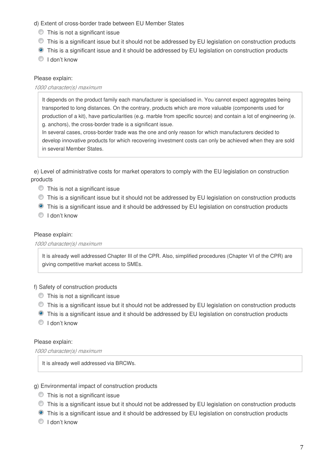#### d) Extent of cross-border trade between EU Member States

- This is not a significant issue
- This is a significant issue but it should not be addressed by EU legislation on construction products
- **•** This is a significant issue and it should be addressed by EU legislation on construction products
- $\bigcirc$  I don't know

#### Please explain:

#### *1000 character(s) maximum*

It depends on the product family each manufacturer is specialised in. You cannot expect aggregates being transported to long distances. On the contrary, products which are more valuable (components used for production of a kit), have particularities (e.g. marble from specific source) and contain a lot of engineering (e. g. anchors), the cross-border trade is a significant issue.

In several cases, cross-border trade was the one and only reason for which manufacturers decided to develop innovative products for which recovering investment costs can only be achieved when they are sold in several Member States.

e) Level of administrative costs for market operators to comply with the EU legislation on construction products

- This is not a significant issue
- This is a significant issue but it should not be addressed by EU legislation on construction products
- This is a significant issue and it should be addressed by EU legislation on construction products
- $\bigcirc$  I don't know

#### Please explain:

#### *1000 character(s) maximum*

It is already well addressed Chapter III of the CPR. Also, simplified procedures (Chapter VI of the CPR) are giving competitive market access to SMEs.

#### f) Safety of construction products

- This is not a significant issue
- This is a significant issue but it should not be addressed by EU legislation on construction products
- This is a significant issue and it should be addressed by EU legislation on construction products
- <sup>O</sup> I don't know

#### Please explain:

*1000 character(s) maximum*

It is already well addressed via BRCWs.

#### g) Environmental impact of construction products

- This is not a significant issue
- This is a significant issue but it should not be addressed by EU legislation on construction products
- **O** This is a significant issue and it should be addressed by EU legislation on construction products
- <sup>O</sup> I don't know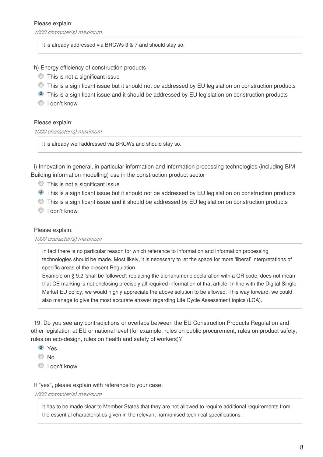#### Please explain:

*1000 character(s) maximum*

It is already addressed via BRCWs 3 & 7 and should stay so.

h) Energy efficiency of construction products

- This is not a significant issue
- This is a significant issue but it should not be addressed by EU legislation on construction products
- This is a significant issue and it should be addressed by EU legislation on construction products
- <sup>O</sup> I don't know

#### Please explain:

*1000 character(s) maximum*

It is already well addressed via BRCWs and should stay so.

i) Innovation in general, in particular information and information processing technologies (including BIM Building information modelling) use in the construction product sector

- This is not a significant issue
- **•** This is a significant issue but it should not be addressed by EU legislation on construction products
- This is a significant issue and it should be addressed by EU legislation on construction products
- <sup>O</sup> I don't know

#### Please explain:

#### *1000 character(s) maximum*

In fact there is no particular reason for which reference to information and information processing technologies should be made. Most likely, it is necessary to let the space for more 'liberal' interpretations of specific areas of the present Regulation.

Example on § 9.2 'shall be followed': replacing the alphanumeric declaration with a QR code, does not mean that CE marking is not enclosing precisely all required information of that article. In line with the Digital Single Market EU policy, we would highly appreciate the above solution to be allowed. This way forward, we could also manage to give the most accurate answer regarding Life Cycle Assessment topics (LCA).

19. Do you see any contradictions or overlaps between the EU Construction Products Regulation and other legislation at EU or national level (for example, rules on public procurement, rules on product safety, rules on eco-design, rules on health and safety of workers)?

- **O** Yes
- No
- I don't know

If "yes", please explain with reference to your case:

*1000 character(s) maximum*

It has to be made clear to Member States that they are not allowed to require additional requirements from the essential characteristics given in the relevant harmonised technical specifications.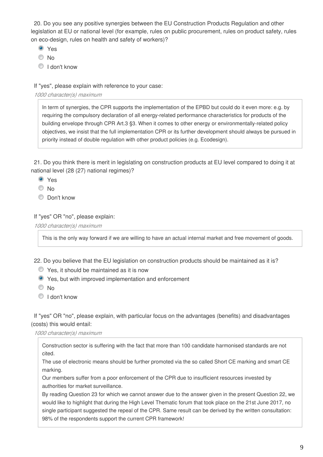20. Do you see any positive synergies between the EU Construction Products Regulation and other legislation at EU or national level (for example, rules on public procurement, rules on product safety, rules on eco-design, rules on health and safety of workers)?

- Yes
- $\odot$  No
- <sup>1</sup> I don't know

If "yes", please explain with reference to your case:

*1000 character(s) maximum*

In term of synergies, the CPR supports the implementation of the EPBD but could do it even more: e.g. by requiring the compulsory declaration of all energy-related performance characteristics for products of the building envelope through CPR Art.3 §3. When it comes to other energy or environmentally-related policy objectives, we insist that the full implementation CPR or its further development should always be pursued in priority instead of double regulation with other product policies (e.g. Ecodesign).

21. Do you think there is merit in legislating on construction products at EU level compared to doing it at national level (28 (27) national regimes)?

- Yes
- O No
- C Don't know

If "yes" OR "no", please explain:

*1000 character(s) maximum*

This is the only way forward if we are willing to have an actual internal market and free movement of goods.

22. Do you believe that the EU legislation on construction products should be maintained as it is?

- Yes, it should be maintained as it is now
- Yes, but with improved implementation and enforcement
- <sup>O</sup>No
- $\textcircled{1}$  I don't know

If "yes" OR "no", please explain, with particular focus on the advantages (benefits) and disadvantages (costs) this would entail:

*1000 character(s) maximum*

Construction sector is suffering with the fact that more than 100 candidate harmonised standards are not cited.

The use of electronic means should be further promoted via the so called Short CE marking and smart CE marking.

Our members suffer from a poor enforcement of the CPR due to insufficient resources invested by authorities for market surveillance.

By reading Question 23 for which we cannot answer due to the answer given in the present Question 22, we would like to highlight that during the High Level Thematic forum that took place on the 21st June 2017, no single participant suggested the repeal of the CPR. Same result can be derived by the written consultation: 98% of the respondents support the current CPR framework!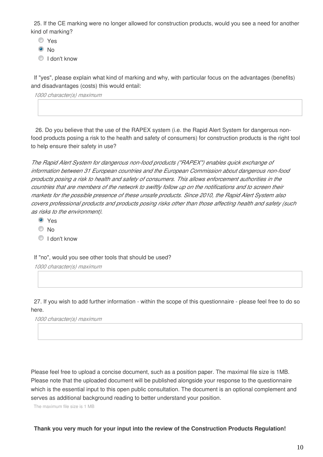25. If the CE marking were no longer allowed for construction products, would you see a need for another kind of marking?

Yes

<sup>O</sup>No

<sup>O</sup> I don't know

If "yes", please explain what kind of marking and why, with particular focus on the advantages (benefits) and disadvantages (costs) this would entail:

*1000 character(s) maximum*

 26. Do you believe that the use of the RAPEX system (i.e. the Rapid Alert System for dangerous nonfood products posing a risk to the health and safety of consumers) for construction products is the right tool to help ensure their safety in use?

*The Rapid Alert System for dangerous non-food products ("RAPEX") enables quick exchange of information between 31 European countries and the European Commission about dangerous non-food products posing a risk to health and safety of consumers. This allows enforcement authorities in the countries that are members of the network to swiftly follow up on the notifications and to screen their markets for the possible presence of these unsafe products. Since 2010, the Rapid Alert System also covers professional products and products posing risks other than those affecting health and safety (such as risks to the environment).*

- Yes
- $\odot$  No
- <sup>1</sup> I don't know

If "no", would you see other tools that should be used?

*1000 character(s) maximum*

27. If you wish to add further information - within the scope of this questionnaire - please feel free to do so here.

*1000 character(s) maximum*

Please feel free to upload a concise document, such as a position paper. The maximal file size is 1MB. Please note that the uploaded document will be published alongside your response to the questionnaire which is the essential input to this open public consultation. The document is an optional complement and serves as additional background reading to better understand your position.

The maximum file size is 1 MB